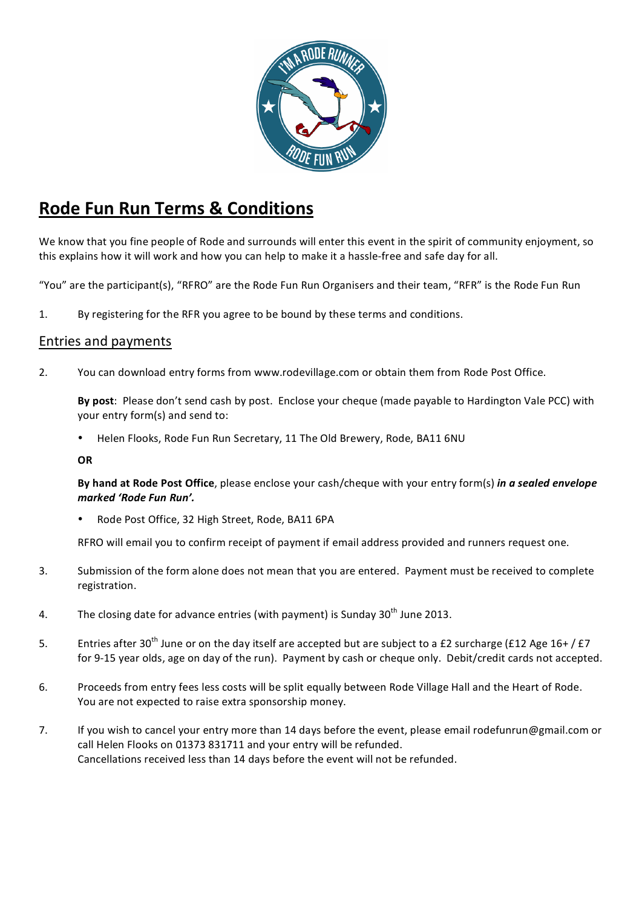

# **Rode Fun Run Terms & Conditions**

We know that you fine people of Rode and surrounds will enter this event in the spirit of community enjoyment, so this explains how it will work and how you can help to make it a hassle-free and safe day for all.

"You" are the participant(s), "RFRO" are the Rode Fun Run Organisers and their team, "RFR" is the Rode Fun Run

1. By registering for the RFR you agree to be bound by these terms and conditions.

### Entries and payments

2. You can download entry forms from www.rodevillage.com or obtain them from Rode Post Office.

**By post**: Please don't send cash by post. Enclose your cheque (made payable to Hardington Vale PCC) with your entry form(s) and send to:

Helen Flooks, Rode Fun Run Secretary, 11 The Old Brewery, Rode, BA11 6NU

**OR**

**By hand at Rode Post Office**, please enclose your cash/cheque with your entry form(s) *in a sealed envelope marked 'Rode Fun Run'.* 

Rode Post Office, 32 High Street, Rode, BA11 6PA

RFRO will email you to confirm receipt of payment if email address provided and runners request one.

- 3. Submission of the form alone does not mean that you are entered. Payment must be received to complete registration.
- 4. The closing date for advance entries (with payment) is Sunday  $30<sup>th</sup>$  June 2013.
- 5. Entries after 30<sup>th</sup> June or on the day itself are accepted but are subject to a £2 surcharge (£12 Age 16+/£7 for 9-15 year olds, age on day of the run). Payment by cash or cheque only. Debit/credit cards not accepted.
- 6. Proceeds from entry fees less costs will be split equally between Rode Village Hall and the Heart of Rode. You are not expected to raise extra sponsorship money.
- 7. If you wish to cancel your entry more than 14 days before the event, please email rodefunrun@gmail.com or call Helen Flooks on 01373 831711 and your entry will be refunded. Cancellations received less than 14 days before the event will not be refunded.